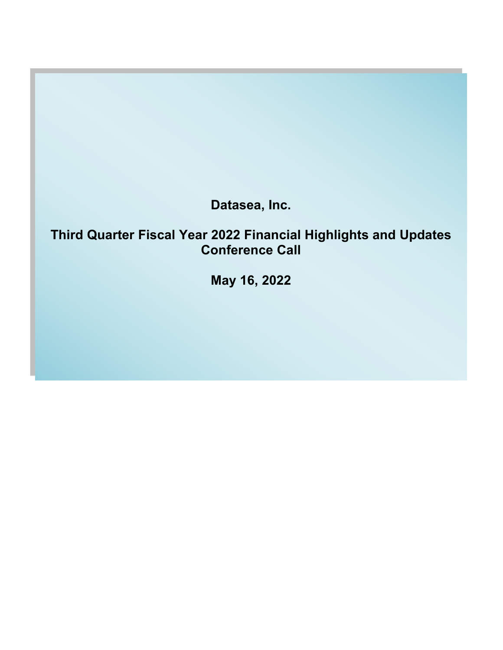**Datasea, Inc.**

# **Third Quarter Fiscal Year 2022 Financial Highlights and Updates Conference Call**

**May 16, 2022**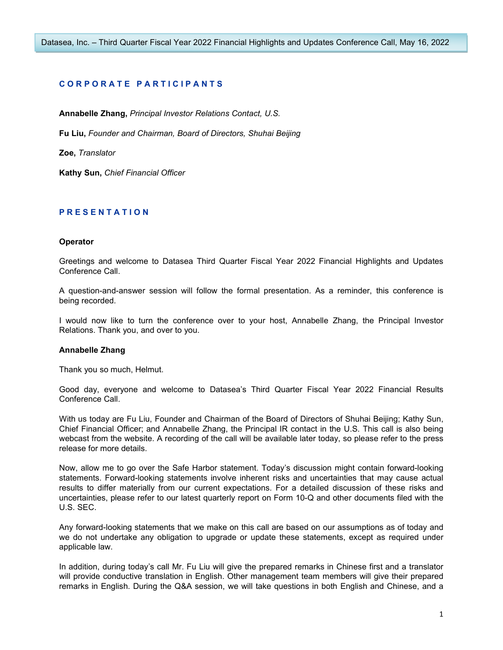# **C O R P O R A T E P A R T I C I P A N T S**

**Annabelle Zhang,** *Principal Investor Relations Contact, U.S.*

**Fu Liu,** *Founder and Chairman, Board of Directors, Shuhai Beijing*

**Zoe,** *Translator*

**Kathy Sun,** *Chief Financial Officer*

# **P R E S E N T A T I O N**

#### **Operator**

Greetings and welcome to Datasea Third Quarter Fiscal Year 2022 Financial Highlights and Updates Conference Call.

A question-and-answer session will follow the formal presentation. As a reminder, this conference is being recorded.

I would now like to turn the conference over to your host, Annabelle Zhang, the Principal Investor Relations. Thank you, and over to you.

#### **Annabelle Zhang**

Thank you so much, Helmut.

Good day, everyone and welcome to Datasea's Third Quarter Fiscal Year 2022 Financial Results Conference Call.

With us today are Fu Liu, Founder and Chairman of the Board of Directors of Shuhai Beijing; Kathy Sun, Chief Financial Officer; and Annabelle Zhang, the Principal IR contact in the U.S. This call is also being webcast from the website. A recording of the call will be available later today, so please refer to the press release for more details.

Now, allow me to go over the Safe Harbor statement. Today's discussion might contain forward-looking statements. Forward-looking statements involve inherent risks and uncertainties that may cause actual results to differ materially from our current expectations. For a detailed discussion of these risks and uncertainties, please refer to our latest quarterly report on Form 10-Q and other documents filed with the U.S. SEC.

Any forward-looking statements that we make on this call are based on our assumptions as of today and we do not undertake any obligation to upgrade or update these statements, except as required under applicable law.

In addition, during today's call Mr. Fu Liu will give the prepared remarks in Chinese first and a translator will provide conductive translation in English. Other management team members will give their prepared remarks in English. During the Q&A session, we will take questions in both English and Chinese, and a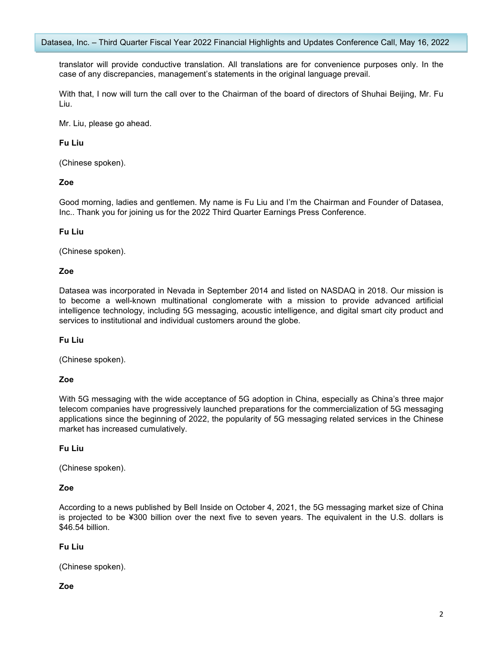translator will provide conductive translation. All translations are for convenience purposes only. In the case of any discrepancies, management's statements in the original language prevail.

With that, I now will turn the call over to the Chairman of the board of directors of Shuhai Beijing, Mr. Fu Liu.

Mr. Liu, please go ahead.

# **Fu Liu**

(Chinese spoken).

# **Zoe**

Good morning, ladies and gentlemen. My name is Fu Liu and I'm the Chairman and Founder of Datasea, Inc.. Thank you for joining us for the 2022 Third Quarter Earnings Press Conference.

# **Fu Liu**

(Chinese spoken).

# **Zoe**

Datasea was incorporated in Nevada in September 2014 and listed on NASDAQ in 2018. Our mission is to become a well-known multinational conglomerate with a mission to provide advanced artificial intelligence technology, including 5G messaging, acoustic intelligence, and digital smart city product and services to institutional and individual customers around the globe.

# **Fu Liu**

(Chinese spoken).

# **Zoe**

With 5G messaging with the wide acceptance of 5G adoption in China, especially as China's three major telecom companies have progressively launched preparations for the commercialization of 5G messaging applications since the beginning of 2022, the popularity of 5G messaging related services in the Chinese market has increased cumulatively.

# **Fu Liu**

(Chinese spoken).

# **Zoe**

According to a news published by Bell Inside on October 4, 2021, the 5G messaging market size of China is projected to be ¥300 billion over the next five to seven years. The equivalent in the U.S. dollars is \$46.54 billion.

# **Fu Liu**

(Chinese spoken).

# **Zoe**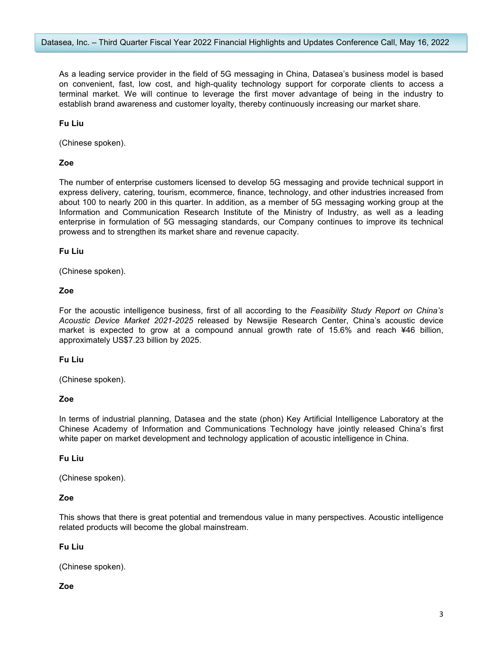As a leading service provider in the field of 5G messaging in China, Datasea's business model is based on convenient, fast, low cost, and high-quality technology support for corporate clients to access a terminal market. We will continue to leverage the first mover advantage of being in the industry to establish brand awareness and customer loyalty, thereby continuously increasing our market share.

**Fu Liu**

(Chinese spoken).

## **Zoe**

The number of enterprise customers licensed to develop 5G messaging and provide technical support in express delivery, catering, tourism, ecommerce, finance, technology, and other industries increased from about 100 to nearly 200 in this quarter. In addition, as a member of 5G messaging working group at the Information and Communication Research Institute of the Ministry of Industry, as well as a leading enterprise in formulation of 5G messaging standards, our Company continues to improve its technical prowess and to strengthen its market share and revenue capacity.

#### **Fu Liu**

(Chinese spoken).

# **Zoe**

For the acoustic intelligence business, first of all according to the *Feasibility Study Report on China's Acoustic Device Market 2021-2025* released by Newsijie Research Center, China's acoustic device market is expected to grow at a compound annual growth rate of 15.6% and reach ¥46 billion, approximately US\$7.23 billion by 2025.

#### **Fu Liu**

(Chinese spoken).

## **Zoe**

In terms of industrial planning, Datasea and the state (phon) Key Artificial Intelligence Laboratory at the Chinese Academy of Information and Communications Technology have jointly released China's first white paper on market development and technology application of acoustic intelligence in China.

#### **Fu Liu**

(Chinese spoken).

#### **Zoe**

This shows that there is great potential and tremendous value in many perspectives. Acoustic intelligence related products will become the global mainstream.

# **Fu Liu**

(Chinese spoken).

# **Zoe**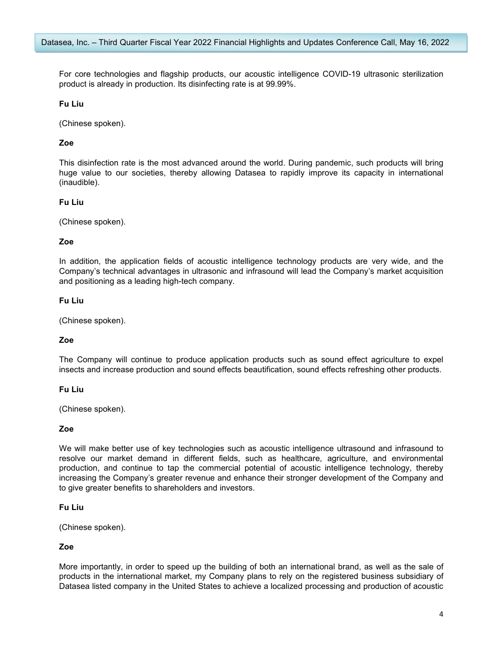For core technologies and flagship products, our acoustic intelligence COVID-19 ultrasonic sterilization product is already in production. Its disinfecting rate is at 99.99%.

## **Fu Liu**

(Chinese spoken).

# **Zoe**

This disinfection rate is the most advanced around the world. During pandemic, such products will bring huge value to our societies, thereby allowing Datasea to rapidly improve its capacity in international (inaudible).

#### **Fu Liu**

(Chinese spoken).

#### **Zoe**

In addition, the application fields of acoustic intelligence technology products are very wide, and the Company's technical advantages in ultrasonic and infrasound will lead the Company's market acquisition and positioning as a leading high-tech company.

#### **Fu Liu**

(Chinese spoken).

#### **Zoe**

The Company will continue to produce application products such as sound effect agriculture to expel insects and increase production and sound effects beautification, sound effects refreshing other products.

#### **Fu Liu**

(Chinese spoken).

#### **Zoe**

We will make better use of key technologies such as acoustic intelligence ultrasound and infrasound to resolve our market demand in different fields, such as healthcare, agriculture, and environmental production, and continue to tap the commercial potential of acoustic intelligence technology, thereby increasing the Company's greater revenue and enhance their stronger development of the Company and to give greater benefits to shareholders and investors.

#### **Fu Liu**

(Chinese spoken).

## **Zoe**

More importantly, in order to speed up the building of both an international brand, as well as the sale of products in the international market, my Company plans to rely on the registered business subsidiary of Datasea listed company in the United States to achieve a localized processing and production of acoustic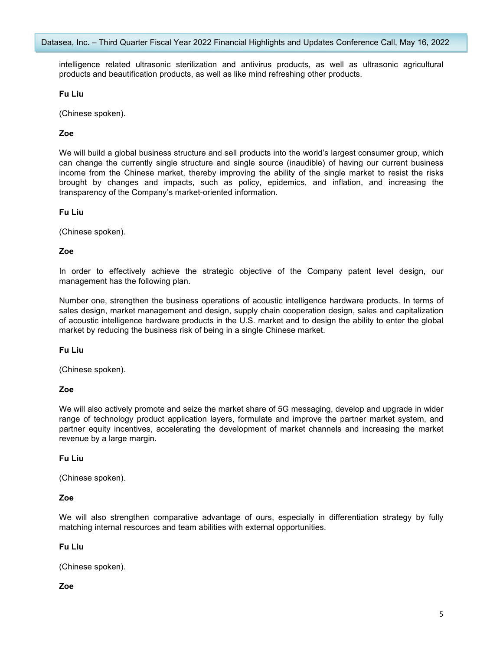intelligence related ultrasonic sterilization and antivirus products, as well as ultrasonic agricultural products and beautification products, as well as like mind refreshing other products.

## **Fu Liu**

(Chinese spoken).

# **Zoe**

We will build a global business structure and sell products into the world's largest consumer group, which can change the currently single structure and single source (inaudible) of having our current business income from the Chinese market, thereby improving the ability of the single market to resist the risks brought by changes and impacts, such as policy, epidemics, and inflation, and increasing the transparency of the Company's market-oriented information.

#### **Fu Liu**

(Chinese spoken).

## **Zoe**

In order to effectively achieve the strategic objective of the Company patent level design, our management has the following plan.

Number one, strengthen the business operations of acoustic intelligence hardware products. In terms of sales design, market management and design, supply chain cooperation design, sales and capitalization of acoustic intelligence hardware products in the U.S. market and to design the ability to enter the global market by reducing the business risk of being in a single Chinese market.

**Fu Liu**

(Chinese spoken).

#### **Zoe**

We will also actively promote and seize the market share of 5G messaging, develop and upgrade in wider range of technology product application layers, formulate and improve the partner market system, and partner equity incentives, accelerating the development of market channels and increasing the market revenue by a large margin.

#### **Fu Liu**

(Chinese spoken).

#### **Zoe**

We will also strengthen comparative advantage of ours, especially in differentiation strategy by fully matching internal resources and team abilities with external opportunities.

# **Fu Liu**

(Chinese spoken).

# **Zoe**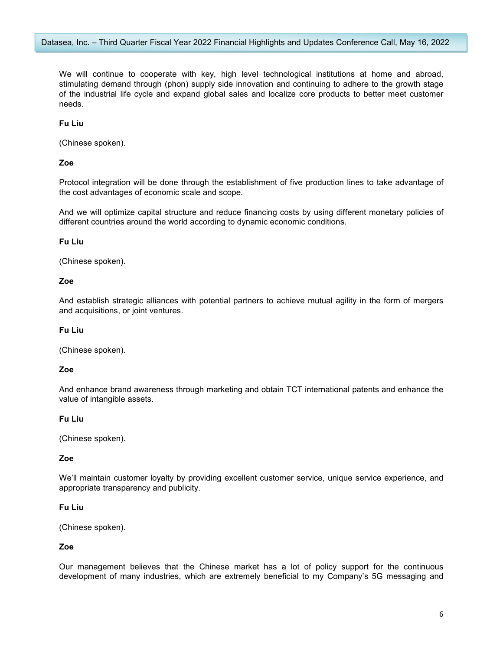We will continue to cooperate with key, high level technological institutions at home and abroad, stimulating demand through (phon) supply side innovation and continuing to adhere to the growth stage of the industrial life cycle and expand global sales and localize core products to better meet customer needs.

## **Fu Liu**

(Chinese spoken).

## **Zoe**

Protocol integration will be done through the establishment of five production lines to take advantage of the cost advantages of economic scale and scope.

And we will optimize capital structure and reduce financing costs by using different monetary policies of different countries around the world according to dynamic economic conditions.

#### **Fu Liu**

(Chinese spoken).

#### **Zoe**

And establish strategic alliances with potential partners to achieve mutual agility in the form of mergers and acquisitions, or joint ventures.

## **Fu Liu**

(Chinese spoken).

#### **Zoe**

And enhance brand awareness through marketing and obtain TCT international patents and enhance the value of intangible assets.

#### **Fu Liu**

(Chinese spoken).

## **Zoe**

We'll maintain customer loyalty by providing excellent customer service, unique service experience, and appropriate transparency and publicity.

## **Fu Liu**

(Chinese spoken).

## **Zoe**

Our management believes that the Chinese market has a lot of policy support for the continuous development of many industries, which are extremely beneficial to my Company's 5G messaging and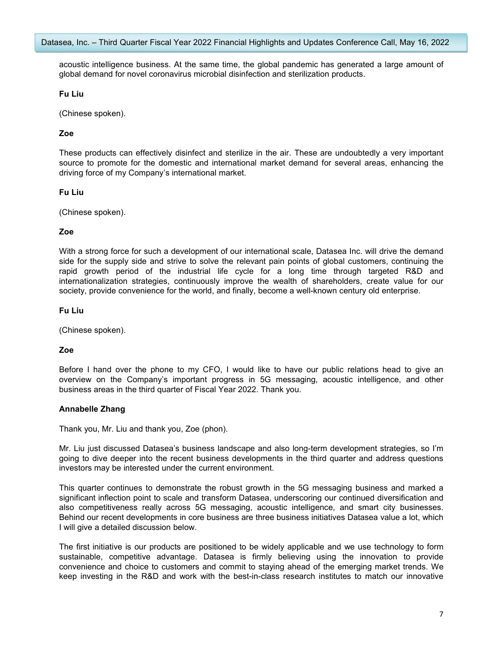acoustic intelligence business. At the same time, the global pandemic has generated a large amount of global demand for novel coronavirus microbial disinfection and sterilization products.

## **Fu Liu**

(Chinese spoken).

# **Zoe**

These products can effectively disinfect and sterilize in the air. These are undoubtedly a very important source to promote for the domestic and international market demand for several areas, enhancing the driving force of my Company's international market.

## **Fu Liu**

(Chinese spoken).

## **Zoe**

With a strong force for such a development of our international scale, Datasea Inc. will drive the demand side for the supply side and strive to solve the relevant pain points of global customers, continuing the rapid growth period of the industrial life cycle for a long time through targeted R&D and internationalization strategies, continuously improve the wealth of shareholders, create value for our society, provide convenience for the world, and finally, become a well-known century old enterprise.

## **Fu Liu**

(Chinese spoken).

## **Zoe**

Before I hand over the phone to my CFO, I would like to have our public relations head to give an overview on the Company's important progress in 5G messaging, acoustic intelligence, and other business areas in the third quarter of Fiscal Year 2022. Thank you.

#### **Annabelle Zhang**

Thank you, Mr. Liu and thank you, Zoe (phon).

Mr. Liu just discussed Datasea's business landscape and also long-term development strategies, so I'm going to dive deeper into the recent business developments in the third quarter and address questions investors may be interested under the current environment.

This quarter continues to demonstrate the robust growth in the 5G messaging business and marked a significant inflection point to scale and transform Datasea, underscoring our continued diversification and also competitiveness really across 5G messaging, acoustic intelligence, and smart city businesses. Behind our recent developments in core business are three business initiatives Datasea value a lot, which I will give a detailed discussion below.

The first initiative is our products are positioned to be widely applicable and we use technology to form sustainable, competitive advantage. Datasea is firmly believing using the innovation to provide convenience and choice to customers and commit to staying ahead of the emerging market trends. We keep investing in the R&D and work with the best-in-class research institutes to match our innovative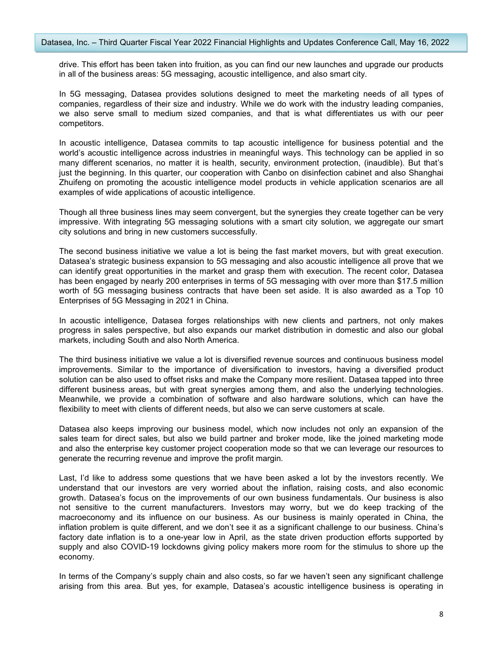drive. This effort has been taken into fruition, as you can find our new launches and upgrade our products in all of the business areas: 5G messaging, acoustic intelligence, and also smart city.

In 5G messaging, Datasea provides solutions designed to meet the marketing needs of all types of companies, regardless of their size and industry. While we do work with the industry leading companies, we also serve small to medium sized companies, and that is what differentiates us with our peer competitors.

In acoustic intelligence, Datasea commits to tap acoustic intelligence for business potential and the world's acoustic intelligence across industries in meaningful ways. This technology can be applied in so many different scenarios, no matter it is health, security, environment protection, (inaudible). But that's just the beginning. In this quarter, our cooperation with Canbo on disinfection cabinet and also Shanghai Zhuifeng on promoting the acoustic intelligence model products in vehicle application scenarios are all examples of wide applications of acoustic intelligence.

Though all three business lines may seem convergent, but the synergies they create together can be very impressive. With integrating 5G messaging solutions with a smart city solution, we aggregate our smart city solutions and bring in new customers successfully.

The second business initiative we value a lot is being the fast market movers, but with great execution. Datasea's strategic business expansion to 5G messaging and also acoustic intelligence all prove that we can identify great opportunities in the market and grasp them with execution. The recent color, Datasea has been engaged by nearly 200 enterprises in terms of 5G messaging with over more than \$17.5 million worth of 5G messaging business contracts that have been set aside. It is also awarded as a Top 10 Enterprises of 5G Messaging in 2021 in China.

In acoustic intelligence, Datasea forges relationships with new clients and partners, not only makes progress in sales perspective, but also expands our market distribution in domestic and also our global markets, including South and also North America.

The third business initiative we value a lot is diversified revenue sources and continuous business model improvements. Similar to the importance of diversification to investors, having a diversified product solution can be also used to offset risks and make the Company more resilient. Datasea tapped into three different business areas, but with great synergies among them, and also the underlying technologies. Meanwhile, we provide a combination of software and also hardware solutions, which can have the flexibility to meet with clients of different needs, but also we can serve customers at scale.

Datasea also keeps improving our business model, which now includes not only an expansion of the sales team for direct sales, but also we build partner and broker mode, like the joined marketing mode and also the enterprise key customer project cooperation mode so that we can leverage our resources to generate the recurring revenue and improve the profit margin.

Last, I'd like to address some questions that we have been asked a lot by the investors recently. We understand that our investors are very worried about the inflation, raising costs, and also economic growth. Datasea's focus on the improvements of our own business fundamentals. Our business is also not sensitive to the current manufacturers. Investors may worry, but we do keep tracking of the macroeconomy and its influence on our business. As our business is mainly operated in China, the inflation problem is quite different, and we don't see it as a significant challenge to our business. China's factory date inflation is to a one-year low in April, as the state driven production efforts supported by supply and also COVID-19 lockdowns giving policy makers more room for the stimulus to shore up the economy.

In terms of the Company's supply chain and also costs, so far we haven't seen any significant challenge arising from this area. But yes, for example, Datasea's acoustic intelligence business is operating in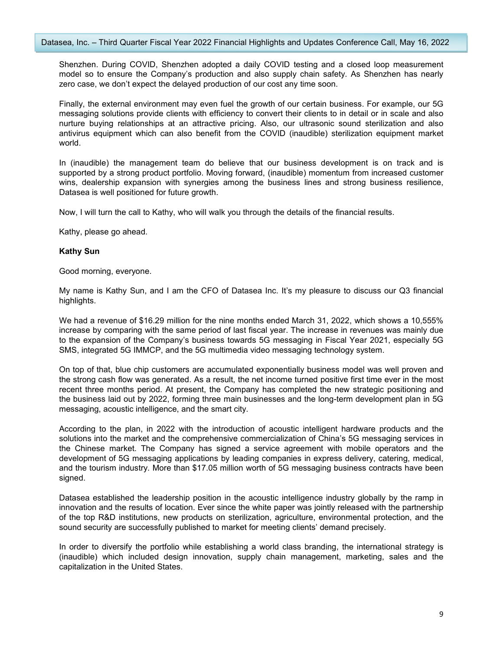Shenzhen. During COVID, Shenzhen adopted a daily COVID testing and a closed loop measurement model so to ensure the Company's production and also supply chain safety. As Shenzhen has nearly zero case, we don't expect the delayed production of our cost any time soon.

Finally, the external environment may even fuel the growth of our certain business. For example, our 5G messaging solutions provide clients with efficiency to convert their clients to in detail or in scale and also nurture buying relationships at an attractive pricing. Also, our ultrasonic sound sterilization and also antivirus equipment which can also benefit from the COVID (inaudible) sterilization equipment market world.

In (inaudible) the management team do believe that our business development is on track and is supported by a strong product portfolio. Moving forward, (inaudible) momentum from increased customer wins, dealership expansion with synergies among the business lines and strong business resilience, Datasea is well positioned for future growth.

Now, I will turn the call to Kathy, who will walk you through the details of the financial results.

Kathy, please go ahead.

## **Kathy Sun**

Good morning, everyone.

My name is Kathy Sun, and I am the CFO of Datasea Inc. It's my pleasure to discuss our Q3 financial highlights.

We had a revenue of \$16.29 million for the nine months ended March 31, 2022, which shows a 10,555% increase by comparing with the same period of last fiscal year. The increase in revenues was mainly due to the expansion of the Company's business towards 5G messaging in Fiscal Year 2021, especially 5G SMS, integrated 5G IMMCP, and the 5G multimedia video messaging technology system.

On top of that, blue chip customers are accumulated exponentially business model was well proven and the strong cash flow was generated. As a result, the net income turned positive first time ever in the most recent three months period. At present, the Company has completed the new strategic positioning and the business laid out by 2022, forming three main businesses and the long-term development plan in 5G messaging, acoustic intelligence, and the smart city.

According to the plan, in 2022 with the introduction of acoustic intelligent hardware products and the solutions into the market and the comprehensive commercialization of China's 5G messaging services in the Chinese market. The Company has signed a service agreement with mobile operators and the development of 5G messaging applications by leading companies in express delivery, catering, medical, and the tourism industry. More than \$17.05 million worth of 5G messaging business contracts have been signed.

Datasea established the leadership position in the acoustic intelligence industry globally by the ramp in innovation and the results of location. Ever since the white paper was jointly released with the partnership of the top R&D institutions, new products on sterilization, agriculture, environmental protection, and the sound security are successfully published to market for meeting clients' demand precisely.

In order to diversify the portfolio while establishing a world class branding, the international strategy is (inaudible) which included design innovation, supply chain management, marketing, sales and the capitalization in the United States.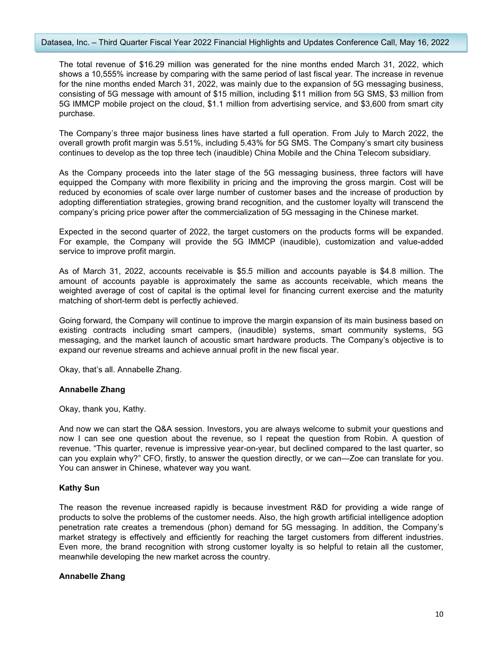The total revenue of \$16.29 million was generated for the nine months ended March 31, 2022, which shows a 10,555% increase by comparing with the same period of last fiscal year. The increase in revenue for the nine months ended March 31, 2022, was mainly due to the expansion of 5G messaging business, consisting of 5G message with amount of \$15 million, including \$11 million from 5G SMS, \$3million from 5G IMMCP mobile project on the cloud, \$1.1 million from advertising service, and \$3,600 from smart city purchase.

The Company's three major business lines have started a full operation. From July to March 2022, the overall growth profit margin was 5.51%, including 5.43% for 5G SMS. The Company's smart city business continues to develop as the top three tech (inaudible) China Mobile and the China Telecom subsidiary.

As the Company proceeds into the later stage of the 5G messaging business, three factors will have equipped the Company with more flexibility in pricing and the improving the gross margin. Cost will be reduced by economies of scale over large number of customer bases and the increase of production by adopting differentiation strategies, growing brand recognition, and the customer loyalty will transcend the company's pricing price power after the commercialization of 5G messaging in the Chinese market.

Expected in the second quarter of 2022, the target customers on the products forms will be expanded. For example, the Company will provide the 5G IMMCP (inaudible), customization and value-added service to improve profit margin.

As of March 31, 2022, accounts receivable is \$5.5 million and accounts payable is \$4.8 million. The amount of accounts payable is approximately the same as accounts receivable, which means the weighted average of cost of capital is the optimal level for financing current exercise and the maturity matching of short-term debt is perfectly achieved.

Going forward, the Company will continue to improve the margin expansion of its main business based on existing contracts including smart campers, (inaudible) systems, smart community systems, 5G messaging, and the market launch of acoustic smart hardware products. The Company's objective is to expand our revenue streams and achieve annual profit in the new fiscal year.

Okay, that's all. Annabelle Zhang.

# **Annabelle Zhang**

Okay, thank you, Kathy.

And now we can start the Q&A session. Investors, you are always welcome to submit your questions and now I can see one question about the revenue, so I repeat the question from Robin. A question of revenue. "This quarter, revenue isimpressive year-on-year, but declined compared to the last quarter, so can you explain why?" CFO, firstly, to answer the question directly, or we can—Zoe can translate for you. You can answer in Chinese, whatever way you want.

# **Kathy Sun**

The reason the revenue increased rapidly is because investment R&D for providing a wide range of products to solve the problems of the customer needs. Also, the high growth artificial intelligence adoption penetration rate creates a tremendous (phon) demand for 5G messaging. In addition, the Company's market strategy is effectively and efficiently for reaching the target customers from different industries. Even more, the brand recognition with strong customer loyalty is so helpful to retain all the customer, meanwhile developing the new market across the country.

#### **Annabelle Zhang**